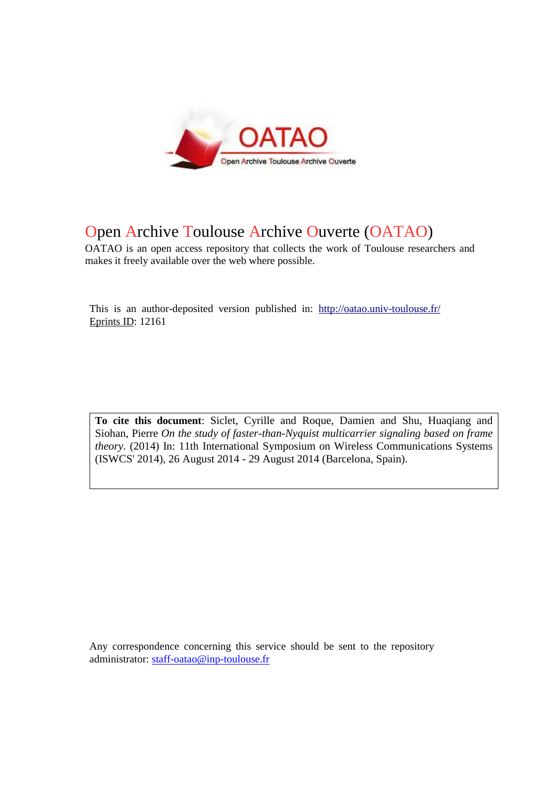

## Open Archive Toulouse Archive Ouverte (OATAO)

OATAO is an open access repository that collects the work of Toulouse researchers and makes it freely available over the web where possible.

This is an author-deposited version published in: http://oatao.univ-toulouse.fr/ Eprints ID: 12161

**To cite this document**: Siclet, Cyrille and Roque, Damien and Shu, Huaqiang and Siohan, Pierre *On the study of faster-than-Nyquist multicarrier signaling based on frame theory.* (2014) In: 11th International Symposium on Wireless Communications Systems (ISWCS' 2014), 26 August 2014 - 29 August 2014 (Barcelona, Spain).

Any correspondence concerning this service should be sent to the repository administrator: [staff-oatao@inp-toulouse.fr](mailto:staff-oatao@inp-toulouse.fr)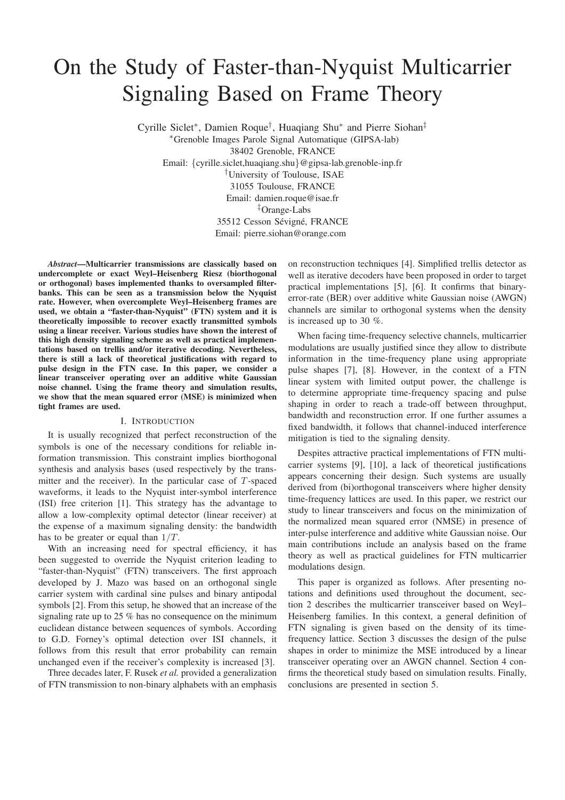# On the Study of Faster-than-Nyquist Multicarrier Signaling Based on Frame Theory

Cyrille Siclet<sup>∗</sup> , Damien Roque† , Huaqiang Shu<sup>∗</sup> and Pierre Siohan‡ <sup>∗</sup>Grenoble Images Parole Signal Automatique (GIPSA-lab) 38402 Grenoble, FRANCE Email: {cyrille.siclet,huaqiang.shu}@gipsa-lab.grenoble-inp.fr †University of Toulouse, ISAE 31055 Toulouse, FRANCE Email: damien.roque@isae.fr ‡Orange-Labs 35512 Cesson Sévigné, FRANCE Email: pierre.siohan@orange.com

*Abstract*—Multicarrier transmissions are classically based on undercomplete or exact Weyl–Heisenberg Riesz (biorthogonal or orthogonal) bases implemented thanks to oversampled filterbanks. This can be seen as a transmission below the Nyquist rate. However, when overcomplete Weyl–Heisenberg frames are used, we obtain a "faster-than-Nyquist" (FTN) system and it is theoretically impossible to recover exactly transmitted symbols using a linear receiver. Various studies have shown the interest of this high density signaling scheme as well as practical implementations based on trellis and/or iterative decoding. Nevertheless, there is still a lack of theoretical justifications with regard to pulse design in the FTN case. In this paper, we consider a linear transceiver operating over an additive white Gaussian noise channel. Using the frame theory and simulation results, we show that the mean squared error (MSE) is minimized when tight frames are used.

#### I. INTRODUCTION

It is usually recognized that perfect reconstruction of the symbols is one of the necessary conditions for reliable information transmission. This constraint implies biorthogonal synthesis and analysis bases (used respectively by the transmitter and the receiver). In the particular case of T-spaced waveforms, it leads to the Nyquist inter-symbol interference (ISI) free criterion [1]. This strategy has the advantage to allow a low-complexity optimal detector (linear receiver) at the expense of a maximum signaling density: the bandwidth has to be greater or equal than  $1/T$ .

With an increasing need for spectral efficiency, it has been suggested to override the Nyquist criterion leading to "faster-than-Nyquist" (FTN) transceivers. The first approach developed by J. Mazo was based on an orthogonal single carrier system with cardinal sine pulses and binary antipodal symbols [2]. From this setup, he showed that an increase of the signaling rate up to 25 % has no consequence on the minimum euclidean distance between sequences of symbols. According to G.D. Forney's optimal detection over ISI channels, it follows from this result that error probability can remain unchanged even if the receiver's complexity is increased [3].

Three decades later, F. Rusek *et al.* provided a generalization of FTN transmission to non-binary alphabets with an emphasis

on reconstruction techniques [4]. Simplified trellis detector as well as iterative decoders have been proposed in order to target practical implementations [5], [6]. It confirms that binaryerror-rate (BER) over additive white Gaussian noise (AWGN) channels are similar to orthogonal systems when the density is increased up to 30 %.

When facing time-frequency selective channels, multicarrier modulations are usually justified since they allow to distribute information in the time-frequency plane using appropriate pulse shapes [7], [8]. However, in the context of a FTN linear system with limited output power, the challenge is to determine appropriate time-frequency spacing and pulse shaping in order to reach a trade-off between throughput, bandwidth and reconstruction error. If one further assumes a fixed bandwidth, it follows that channel-induced interference mitigation is tied to the signaling density.

Despites attractive practical implementations of FTN multicarrier systems [9], [10], a lack of theoretical justifications appears concerning their design. Such systems are usually derived from (bi)orthogonal transceivers where higher density time-frequency lattices are used. In this paper, we restrict our study to linear transceivers and focus on the minimization of the normalized mean squared error (NMSE) in presence of inter-pulse interference and additive white Gaussian noise. Our main contributions include an analysis based on the frame theory as well as practical guidelines for FTN multicarrier modulations design.

This paper is organized as follows. After presenting notations and definitions used throughout the document, section 2 describes the multicarrier transceiver based on Weyl– Heisenberg families. In this context, a general definition of FTN signaling is given based on the density of its timefrequency lattice. Section 3 discusses the design of the pulse shapes in order to minimize the MSE introduced by a linear transceiver operating over an AWGN channel. Section 4 confirms the theoretical study based on simulation results. Finally, conclusions are presented in section 5.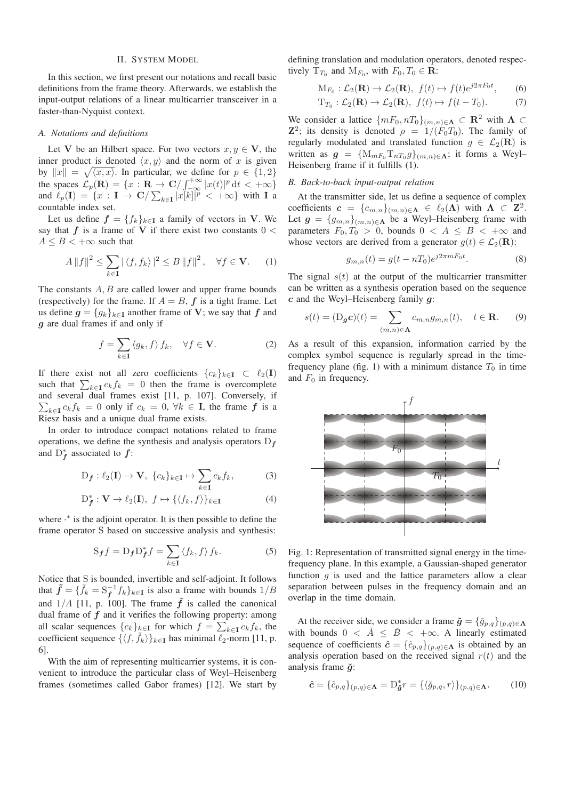#### II. SYSTEM MODEL

In this section, we first present our notations and recall basic definitions from the frame theory. Afterwards, we establish the input-output relations of a linear multicarrier transceiver in a faster-than-Nyquist context.

#### *A. Notations and definitions*

Let V be an Hilbert space. For two vectors  $x, y \in V$ , the inner product is denoted  $\langle x, y \rangle$  and the norm of x is given by  $||x|| = \sqrt{\langle x, x \rangle}$ . In particular, we define for  $p \in \{1, 2\}$ the spaces  $\mathcal{L}_p(\mathbf{R}) = \{x : \mathbf{R} \to \mathbf{C}/\int_{-\infty}^{+\infty} |x(t)|^p dt < +\infty\}$ and  $\ell_p(I) = \{x : I \to \mathbb{C}/\sum_{k \in I} |x[k]|^p < +\infty\}$  with I a countable index set.

Let us define  $f = \{f_k\}_{k \in \mathbf{I}}$  a family of vectors in V. We say that  $f$  is a frame of V if there exist two constants  $0 <$  $A \leq B < +\infty$  such that

$$
A \|f\|^2 \le \sum_{k \in \mathbf{I}} |\langle f, f_k \rangle|^2 \le B \|f\|^2, \quad \forall f \in \mathbf{V}.
$$
 (1)

The constants  $A, B$  are called lower and upper frame bounds (respectively) for the frame. If  $A = B$ ,  $f$  is a tight frame. Let us define  $g = \{g_k\}_{k \in \mathbf{I}}$  another frame of V; we say that f and g are dual frames if and only if

$$
f = \sum_{k \in \mathbf{I}} \langle g_k, f \rangle f_k, \quad \forall f \in \mathbf{V}.
$$
 (2)

If there exist not all zero coefficients  $\{c_k\}_{k\in\mathbf{I}} \subset \ell_2(\mathbf{I})$ such that  $\sum_{k\in I} c_k f_k = 0$  then the frame is overcomplete and several dual frames exist [11, p. 107]. Conversely, if  $\sum_{k\in I} c_k f_k = 0$  only if  $c_k = 0, \forall k \in I$ , the frame f is a Riesz basis and a unique dual frame exists.

In order to introduce compact notations related to frame operations, we define the synthesis and analysis operators  $D_f$ and  $D_f^*$  associated to  $f$ :

$$
\mathcal{D}_{\mathbf{f}}: \ell_2(\mathbf{I}) \to \mathbf{V}, \ \{c_k\}_{k \in \mathbf{I}} \mapsto \sum_{k \in \mathbf{I}} c_k f_k,\tag{3}
$$

$$
\mathcal{D}_{\mathbf{f}}^* : \mathbf{V} \to \ell_2(\mathbf{I}), \ f \mapsto \{ \langle f_k, f \rangle \}_{k \in \mathbf{I}} \tag{4}
$$

where <sup>∗</sup> is the adjoint operator. It is then possible to define the frame operator S based on successive analysis and synthesis:

$$
S_{f}f = D_{f}D_{f}^{*}f = \sum_{k \in \mathbf{I}} \langle f_{k}, f \rangle f_{k}.
$$
 (5)

Notice that S is bounded, invertible and self-adjoint. It follows that  $\tilde{f} = {\tilde{f}_k} = S_f^{-1} f_k$ ,  $k \in I$  is also a frame with bounds  $1/B$ and  $1/A$  [11, p. 100]. The frame  $\tilde{f}$  is called the canonical dual frame of  $f$  and it verifies the following property: among all scalar sequences  ${c_k}_{k \in I}$  for which  $f = \sum_{k \in I} c_k f_k$ , the coefficient sequence  $\{\langle f, f_k \rangle\}_{k \in \mathbf{I}}$  has minimal  $\ell_2$ -norm [11, p. 6].

With the aim of representing multicarrier systems, it is convenient to introduce the particular class of Weyl–Heisenberg frames (sometimes called Gabor frames) [12]. We start by defining translation and modulation operators, denoted respectively  $T_{T_0}$  and  $M_{F_0}$ , with  $F_0, T_0 \in \mathbf{R}$ :

$$
M_{F_0}: \mathcal{L}_2(\mathbf{R}) \to \mathcal{L}_2(\mathbf{R}), \ f(t) \mapsto f(t)e^{j2\pi F_0 t}, \qquad (6)
$$

$$
T_{T_0}: \mathcal{L}_2(\mathbf{R}) \to \mathcal{L}_2(\mathbf{R}), \ f(t) \mapsto f(t - T_0). \tag{7}
$$

We consider a lattice  $\{mF_0, nT_0\}_{(m,n)\in\Lambda} \subset \mathbb{R}^2$  with  $\Lambda \subset$  $\mathbb{Z}^2$ ; its density is denoted  $\rho = 1/(F_0T_0)$ . The family of regularly modulated and translated function  $q \in \mathcal{L}_2(\mathbf{R})$  is written as  $g = \{M_{mF_0}T_{nT_0}g\}_{(m,n)\in\Lambda}$ ; it forms a Weyl-Heisenberg frame if it fulfills (1).

#### *B. Back-to-back input-output relation*

At the transmitter side, let us define a sequence of complex coefficients  $\mathbf{c} = \{c_{m,n}\}_{(m,n)\in\mathbf{\Lambda}} \in \ell_2(\mathbf{\Lambda})$  with  $\mathbf{\Lambda} \subset \mathbf{Z}^2$ . Let  $g = \{g_{m,n}\}_{(m,n)\in \Lambda}$  be a Weyl–Heisenberg frame with parameters  $F_0, T_0 > 0$ , bounds  $0 < A \leq B < +\infty$  and whose vectors are derived from a generator  $g(t) \in \mathcal{L}_2(\mathbf{R})$ :

$$
g_{m,n}(t) = g(t - nT_0)e^{j2\pi mF_0t}.
$$
 (8)

The signal  $s(t)$  at the output of the multicarrier transmitter can be written as a synthesis operation based on the sequence  $c$  and the Weyl–Heisenberg family  $q$ :

$$
s(t) = (D_g c)(t) = \sum_{(m,n)\in\Lambda} c_{m,n} g_{m,n}(t), \quad t \in \mathbf{R}.
$$
 (9)

As a result of this expansion, information carried by the complex symbol sequence is regularly spread in the timefrequency plane (fig. 1) with a minimum distance  $T_0$  in time and  $F_0$  in frequency.



Fig. 1: Representation of transmitted signal energy in the timefrequency plane. In this example, a Gaussian-shaped generator function  $g$  is used and the lattice parameters allow a clear separation between pulses in the frequency domain and an overlap in the time domain.

At the receiver side, we consider a frame  $\check{g} = {\{\check{g}_{p,q}\}}_{(p,q)\in\Lambda}$ with bounds  $0 \leq \tilde{A} \leq \tilde{B} \leq +\infty$ . A linearly estimated sequence of coefficients  $\hat{c} = \{\hat{c}_{p,q}\}_{(p,q)\in\Lambda}$  is obtained by an analysis operation based on the received signal  $r(t)$  and the analysis frame  $\check{g}$ :

$$
\hat{\mathbf{c}} = \{\hat{c}_{p,q}\}_{(p,q)\in\mathbf{\Lambda}} = \mathbf{D}_{\tilde{\mathbf{g}}}^* r = \{\langle \check{g}_{p,q}, r \rangle\}_{(p,q)\in\mathbf{\Lambda}}.\tag{10}
$$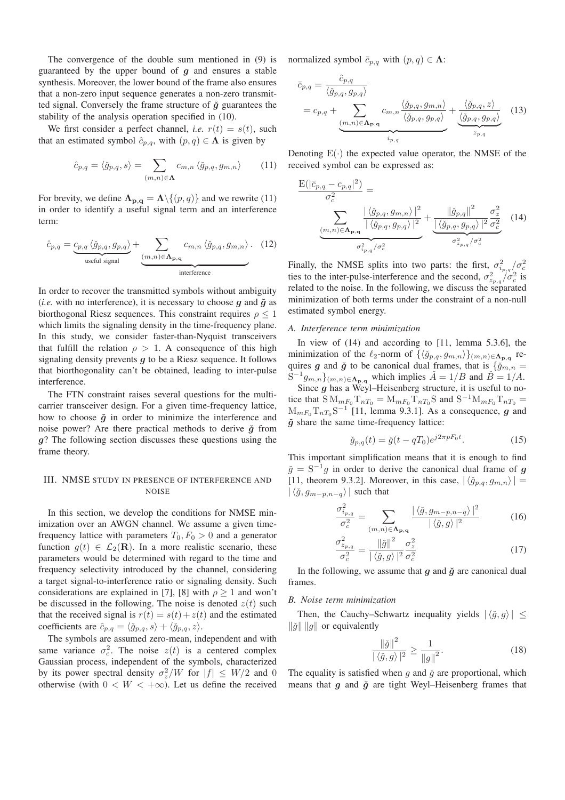The convergence of the double sum mentioned in (9) is guaranteed by the upper bound of  $q$  and ensures a stable synthesis. Moreover, the lower bound of the frame also ensures that a non-zero input sequence generates a non-zero transmitted signal. Conversely the frame structure of  $\check{g}$  guarantees the stability of the analysis operation specified in (10).

We first consider a perfect channel, *i.e.*  $r(t) = s(t)$ , such that an estimated symbol  $\hat{c}_{p,q}$ , with  $(p,q) \in \Lambda$  is given by

$$
\hat{c}_{p,q} = \langle \check{g}_{p,q}, s \rangle = \sum_{(m,n) \in \Lambda} c_{m,n} \langle \check{g}_{p,q}, g_{m,n} \rangle \qquad (11)
$$

For brevity, we define  $\Lambda_{\mathbf{p},\mathbf{q}} = \Lambda \setminus \{(p,q)\}\$ and we rewrite (11) in order to identify a useful signal term and an interference term:

$$
\hat{c}_{p,q} = \underbrace{c_{p,q} \langle \check{g}_{p,q}, g_{p,q} \rangle}_{\text{useful signal}} + \underbrace{\sum_{(m,n) \in \Lambda_{p,q}} c_{m,n} \langle \check{g}_{p,q}, g_{m,n} \rangle}_{\text{interference}}.
$$
 (12)

In order to recover the transmitted symbols without ambiguity (*i.e.* with no interference), it is necessary to choose  $g$  and  $\check{g}$  as biorthogonal Riesz sequences. This constraint requires  $\rho \leq 1$ which limits the signaling density in the time-frequency plane. In this study, we consider faster-than-Nyquist transceivers that fulfill the relation  $\rho > 1$ . A consequence of this high signaling density prevents  $q$  to be a Riesz sequence. It follows that biorthogonality can't be obtained, leading to inter-pulse interference.

The FTN constraint raises several questions for the multicarrier transceiver design. For a given time-frequency lattice, how to choose  $\check{g}$  in order to minimize the interference and noise power? Are there practical methods to derive  $\check{g}$  from g? The following section discusses these questions using the frame theory.

### III. NMSE STUDY IN PRESENCE OF INTERFERENCE AND NOISE

In this section, we develop the conditions for NMSE minimization over an AWGN channel. We assume a given timefrequency lattice with parameters  $T_0, F_0 > 0$  and a generator function  $g(t) \in \mathcal{L}_2(\mathbf{R})$ . In a more realistic scenario, these parameters would be determined with regard to the time and frequency selectivity introduced by the channel, considering a target signal-to-interference ratio or signaling density. Such considerations are explained in [7], [8] with  $\rho \ge 1$  and won't be discussed in the following. The noise is denoted  $z(t)$  such that the received signal is  $r(t) = s(t) + z(t)$  and the estimated coefficients are  $\hat{c}_{p,q} = \langle \check{g}_{p,q}, s \rangle + \langle \check{g}_{p,q}, z \rangle$ .

The symbols are assumed zero-mean, independent and with same variance  $\sigma_c^2$ . The noise  $z(t)$  is a centered complex Gaussian process, independent of the symbols, characterized by its power spectral density  $\sigma_z^2/W$  for  $|f| \leq W/2$  and 0 otherwise (with  $0 < W < +\infty$ ). Let us define the received normalized symbol  $\bar{c}_{p,q}$  with  $(p,q) \in \Lambda$ :

$$
\bar{c}_{p,q} = \frac{\hat{c}_{p,q}}{\langle \check{g}_{p,q}, g_{p,q} \rangle} \n= c_{p,q} + \sum_{\substack{(m,n) \in \Lambda_{p,q} \\ i_{p,q}}} c_{m,n} \frac{\langle \check{g}_{p,q}, g_{m,n} \rangle}{\langle \check{g}_{p,q}, g_{p,q} \rangle} + \frac{\langle \check{g}_{p,q}, z \rangle}{\langle \check{g}_{p,q}, g_{p,q} \rangle}
$$
(13)

Denoting  $E(\cdot)$  the expected value operator, the NMSE of the received symbol can be expressed as:

$$
\frac{\mathcal{E}(|\bar{c}_{p,q} - c_{p,q}|^2)}{\sigma_c^2} = \frac{\sum_{\substack{\langle \check{g}_{p,q}, g_{m,n} \rangle \\ \langle \check{g}_{p,q}, g_{p,q} \rangle \\ \sigma_{ip,q}^2/\sigma_c^2}} \frac{|\langle \check{g}_{p,q}, g_{m,n} \rangle|^2}{|\langle \check{g}_{p,q}, g_{p,q} \rangle|^2} + \frac{\|\check{g}_{p,q}\|^2}{\langle \langle \check{g}_{p,q}, g_{p,q} \rangle|^2} \frac{\sigma_z^2}{\sigma_c^2} \quad (14)
$$

Finally, the NMSE splits into two parts: the first,  $\sigma_{i_p,q}^2/\sigma_c^2$ ties to the inter-pulse-interference and the second,  $\sigma_{z_p,q}^2/\sigma_c^2$  is related to the noise. In the following, we discuss the separated minimization of both terms under the constraint of a non-null estimated symbol energy.

#### *A. Interference term minimization*

In view of (14) and according to [11, lemma 5.3.6], the minimization of the  $\ell_2$ -norm of  $\{\langle \check{g}_{p,q}, g_{m,n} \rangle\}_{(m,n)\in \Lambda_{\mathbf{p},\mathbf{q}}}$  requires g and  $\check{g}$  to be canonical dual frames, that is  $\{\check{g}_{m,n} =$  $S^{-1}g_{m,n}\}_{(m,n)\in\Lambda_{\mathbf{p},\mathbf{q}}}$  which implies  $\check{A}=1/B$  and  $\check{B}=1/A$ .

Since  $g$  has a Weyl–Heisenberg structure, it is useful to notice that  $\overline{S} M_{mF_0} \overline{T}_{nT_0} = M_{mF_0} \overline{T}_{nT_0} S$  and  $\overline{S}^{-1} M_{mF_0} \overline{T}_{nT_0} =$  $M_{mF_0}T_{nT_0}S^{-1}$  [11, lemma 9.3.1]. As a consequence, g and  $\check{g}$  share the same time-frequency lattice:

$$
\check{g}_{p,q}(t) = \check{g}(t - qT_0)e^{j2\pi pF_0t}.\tag{15}
$$

This important simplification means that it is enough to find  $\check{g} = S^{-1}g$  in order to derive the canonical dual frame of g [11, theorem 9.3.2]. Moreover, in this case,  $|\langle \check{g}_{p,q}, g_{m,n} \rangle|$  =  $|\langle \check{g}, g_{m-p,n-q}\rangle|$  such that

$$
\frac{\sigma_{i_{p,q}}^2}{\sigma_c^2} = \sum_{(m,n)\in\Lambda_{\mathbf{p},\mathbf{q}}} \frac{|\langle \check{g}, g_{m-p,n-q} \rangle|^2}{|\langle \check{g}, g \rangle|^2}
$$
(16)

$$
\frac{\sigma_{z_{p,q}}^2}{\sigma_c^2} = \frac{\|\check{g}\|^2}{|\langle \check{g}, g \rangle|^2} \frac{\sigma_z^2}{\sigma_c^2}
$$
\n(17)

In the following, we assume that  $g$  and  $\check{g}$  are canonical dual frames.

#### *B. Noise term minimization*

Then, the Cauchy–Schwartz inequality yields  $|\langle \check{q}, q \rangle| \leq$  $\|\check{g}\| \|g\|$  or equivalently

$$
\frac{\|\check{g}\|^2}{|\langle \check{g}, g \rangle|^2} \ge \frac{1}{\|g\|^2}.\tag{18}
$$

The equality is satisfied when  $g$  and  $\check{g}$  are proportional, which means that  $g$  and  $\check{g}$  are tight Weyl–Heisenberg frames that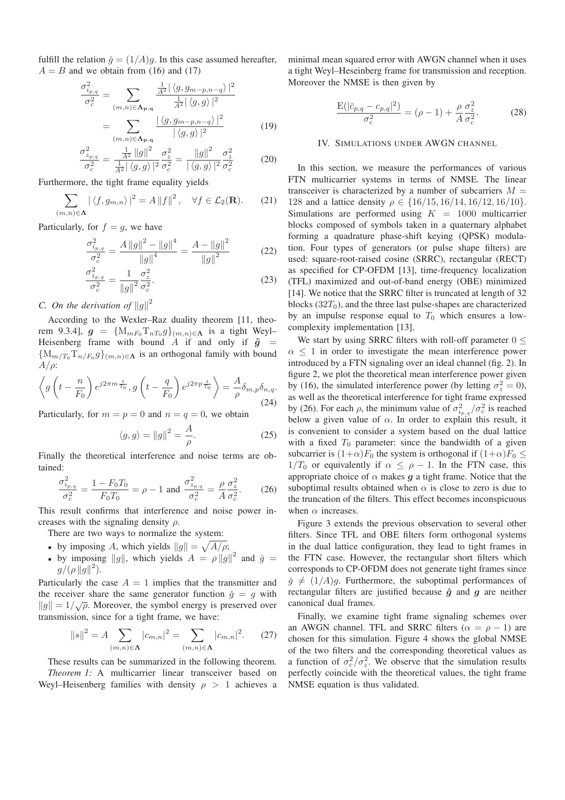fulfill the relation  $\check{g} = (1/A)g$ . In this case assumed hereafter,  $A = B$  and we obtain from (16) and (17)

$$
\frac{\sigma_{i_{p,q}}^2}{\sigma_c^2} = \sum_{(m,n)\in\Lambda_{\mathbf{p},\mathbf{q}}} \frac{\frac{1}{A^2} |\langle g, g_{m-p,n-q} \rangle|^2}{\frac{1}{A^2} |\langle g, g \rangle|^2}
$$

$$
= \sum_{(m,n)\in\Lambda_{\mathbf{p},\mathbf{q}}} \frac{|\langle g, g_{m-p,n-q} \rangle|^2}{|\langle g, g \rangle|^2}
$$
(19)

$$
\frac{\sigma_{z_{p,q}}^2}{\sigma_c^2} = \frac{\frac{1}{A^2} \|g\|^2}{\frac{1}{A^2} |\langle g, g \rangle|^2} \frac{\sigma_z^2}{\sigma_c^2} = \frac{\|g\|^2}{|\langle g, g \rangle|^2} \frac{\sigma_z^2}{\sigma_c^2}
$$
(20)

Furthermore, the tight frame equality yields

$$
\sum_{(m,n)\in\Lambda} |\langle f, g_{m,n}\rangle|^2 = A \|f\|^2, \quad \forall f \in \mathcal{L}_2(\mathbf{R}).\tag{21}
$$

Particularly, for  $f = q$ , we have

$$
\frac{\sigma_{i_{p,q}}^2}{\sigma_c^2} = \frac{A\|g\|^2 - \|g\|^4}{\|g\|^4} = \frac{A - \|g\|^2}{\|g\|^2} \tag{22}
$$

$$
\frac{\sigma_{z_{p,q}}^2}{\sigma_c^2} = \frac{1}{\|g\|^2} \frac{\sigma_z^2}{\sigma_c^2}.
$$
\n(23)

*C.* On the derivation of  $||g||^2$ 

According to the Wexler–Raz duality theorem [11, theorem 9.3.4],  $g = \{M_{mF_0}T_{nT_0}g\}_{(m,n)\in\Lambda}$  is a tight Weyl-Heisenberg frame with bound A if and only if  $\tilde{g}$  =  ${M_{m/T_0}T_{n/F_0}g}_{(m,n)\in\Lambda}$  is an orthogonal family with bound  $A/\rho$ :

$$
\left\langle g\left(t - \frac{n}{F_0}\right) e^{j2\pi m \frac{t}{T_0}}, g\left(t - \frac{q}{F_0}\right) e^{j2\pi p \frac{t}{T_0}}\right\rangle = \frac{A}{\rho} \delta_{m,p} \delta_{n,q}.
$$
\n(24)

Particularly, for  $m = p = 0$  and  $n = q = 0$ , we obtain

$$
\langle g, g \rangle = ||g||^2 = \frac{A}{\rho}.
$$
 (25)

Finally the theoretical interference and noise terms are obtained:

$$
\frac{\sigma_{i_{p,q}}^2}{\sigma_c^2} = \frac{1 - F_0 T_0}{F_0 T_0} = \rho - 1 \text{ and } \frac{\sigma_{z_{p,q}}^2}{\sigma_c^2} = \frac{\rho}{A} \frac{\sigma_z^2}{\sigma_c^2}.
$$
 (26)

This result confirms that interference and noise power increases with the signaling density  $\rho$ .

There are two ways to normalize the system:

- by imposing A, which yields  $||g|| = \sqrt{A/\rho}$ ;
- by imposing ||g||, which yields  $A = \rho ||g||^2$  and  $\check{g} =$  $g/(\rho \|g\|^2)$ .

Particularly the case  $A = 1$  implies that the transmitter and the receiver share the same generator function  $\check{q} = q$  with  $||g|| = 1/\sqrt{\rho}$ . Moreover, the symbol energy is preserved over transmission, since for a tight frame, we have:

$$
||s||^2 = A \sum_{(m,n)\in\Lambda} |c_{m,n}|^2 = \sum_{(m,n)\in\Lambda} |c_{m,n}|^2. \tag{27}
$$

These results can be summarized in the following theorem. *Theorem 1:* A multicarrier linear transceiver based on Weyl–Heisenberg families with density  $\rho > 1$  achieves a minimal mean squared error with AWGN channel when it uses a tight Weyl–Heseinberg frame for transmission and reception. Moreover the NMSE is then given by

$$
\frac{E(|\bar{c}_{p,q} - c_{p,q}|^2)}{\sigma_c^2} = (\rho - 1) + \frac{\rho}{A} \frac{\sigma_z^2}{\sigma_c^2}.
$$
 (28)

#### IV. SIMULATIONS UNDER AWGN CHANNEL

In this section, we measure the performances of various FTN multicarrier systems in terms of NMSE. The linear transceiver is characterized by a number of subcarriers  $M =$ 128 and a lattice density  $\rho \in \{16/15, 16/14, 16/12, 16/10\}.$ Simulations are performed using  $K = 1000$  multicarrier blocks composed of symbols taken in a quaternary alphabet forming a quadrature phase-shift keying (QPSK) modulation. Four types of generators (or pulse shape filters) are used: square-root-raised cosine (SRRC), rectangular (RECT) as specified for CP-OFDM [13], time-frequency localization (TFL) maximized and out-of-band energy (OBE) minimized [14]. We notice that the SRRC filter is truncated at length of 32 blocks  $(32T<sub>0</sub>)$ , and the three last pulse-shapes are characterized by an impulse response equal to  $T_0$  which ensures a lowcomplexity implementation [13].

We start by using SRRC filters with roll-off parameter  $0 \leq$  $\alpha$  < 1 in order to investigate the mean interference power introduced by a FTN signaling over an ideal channel (fig. 2). In figure 2, we plot the theoretical mean interference power given by (16), the simulated interference power (by letting  $\sigma_z^2 = 0$ ), as well as the theoretical interference for tight frame expressed by (26). For each  $\rho$ , the minimum value of  $\sigma_{i_{p,q}}^2/\sigma_c^2$  is reached below a given value of  $\alpha$ . In order to explain this result, it is convenient to consider a system based on the dual lattice with a fixed  $T_0$  parameter: since the bandwidth of a given subcarrier is  $(1+\alpha)F_0$  the system is orthogonal if  $(1+\alpha)F_0 \leq$  $1/T_0$  or equivalently if  $\alpha \leq \rho - 1$ . In the FTN case, this appropriate choice of  $\alpha$  makes g a tight frame. Notice that the suboptimal results obtained when  $\alpha$  is close to zero is due to the truncation of the filters. This effect becomes inconspicuous when  $\alpha$  increases.

Figure 3 extends the previous observation to several other filters. Since TFL and OBE filters form orthogonal systems in the dual lattice configuration, they lead to tight frames in the FTN case. However, the rectangular short filters which corresponds to CP-OFDM does not generate tight frames since  $\check{g} \neq (1/A)g$ . Furthermore, the suboptimal performances of rectangular filters are justified because  $\check{g}$  and  $g$  are neither canonical dual frames.

Finally, we examine tight frame signaling schemes over an AWGN channel. TFL and SRRC filters ( $\alpha = \rho - 1$ ) are chosen for this simulation. Figure 4 shows the global NMSE of the two filters and the corresponding theoretical values as a function of  $\sigma_c^2/\sigma_z^2$ . We observe that the simulation results perfectly coincide with the theoretical values, the tight frame NMSE equation is thus validated.